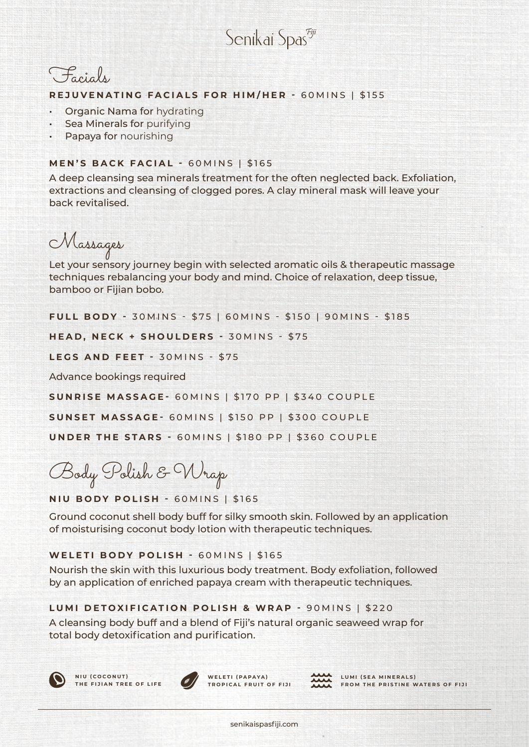Senikai Spas<sup>egij</sup>



#### **REJUVENATING FACIALS FOR HIM/HER -** 60MINS | \$155

- Organic Nama for hydrating
- **Sea Minerals for purifying**
- Papaya for nourishing

### **MEN'S BACK FACIAL -** 60MINS | \$165

A deep cleansing sea minerals treatment for the often neglected back. Exfoliation, extractions and cleansing of clogged pores. A clay mineral mask will leave your back revitalised.

Massages

Let your sensory journey begin with selected aromatic oils & therapeutic massage techniques rebalancing your body and mind. Choice of relaxation, deep tissue, bamboo or Fijian bobo.

**FULL BODY - 30 M INS - \$75 | 60 M INS - \$150 | 90 M INS - \$185** 

**HEAD, NECK + SHOULDERS - 30MINS - \$75** 

**LEGS AND FEET -** 30MINS - \$75

Advance bookings required

**SUNRISE MASSAGE-** 60MINS | \$170 PP | \$340 COUPLE

**SUNSET MASSAGE-** 60MINS | \$150 PP | \$300 COUPLE

**UNDER THE STARS -** 60MINS | \$180 PP | \$360 COUPLE

Body Polish & Wrap

**NIU BODY POLISH -** 60MINS | \$165

Ground coconut shell body buff for silky smooth skin. Followed by an application of moisturising coconut body lotion with therapeutic techniques.

### **WELETI BODY POLISH -** 60MINS | \$165

Nourish the skin with this luxurious body treatment. Body exfoliation, followed by an application of enriched papaya cream with therapeutic techniques.

### **LUMI DETOXIFICATION POLISH & WRAP -** 90MINS | \$220

A cleansing body buff and a blend of Fiji's natural organic seaweed wrap for total body detoxification and purification.





WELETI (PAPAYA) **TROPICAL FRUIT OF FIJI**



LUMI (SEA MINERALS) **FROM THE PRISTINE WATERS OF FIJI**